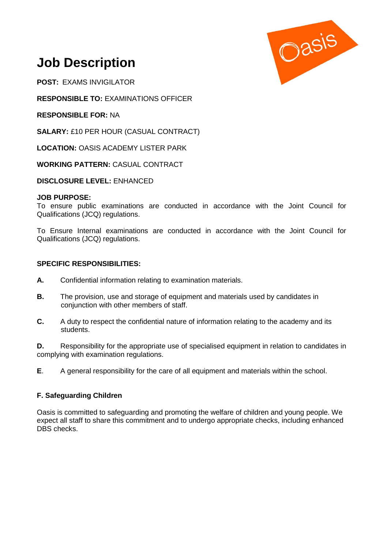

# **Job Description**

**POST:** EXAMS INVIGILATOR

**RESPONSIBLE TO:** EXAMINATIONS OFFICER

**RESPONSIBLE FOR:** NA

**SALARY:** £10 PER HOUR (CASUAL CONTRACT)

**LOCATION:** OASIS ACADEMY LISTER PARK

**WORKING PATTERN:** CASUAL CONTRACT

**DISCLOSURE LEVEL:** ENHANCED

#### **JOB PURPOSE:**

To ensure public examinations are conducted in accordance with the Joint Council for Qualifications (JCQ) regulations.

To Ensure Internal examinations are conducted in accordance with the Joint Council for Qualifications (JCQ) regulations.

#### **SPECIFIC RESPONSIBILITIES:**

- **A.** Confidential information relating to examination materials.
- **B.** The provision, use and storage of equipment and materials used by candidates in conjunction with other members of staff.
- **C.** A duty to respect the confidential nature of information relating to the academy and its students.

**D.** Responsibility for the appropriate use of specialised equipment in relation to candidates in complying with examination regulations.

**E**. A general responsibility for the care of all equipment and materials within the school.

### **F. Safeguarding Children**

Oasis is committed to safeguarding and promoting the welfare of children and young people. We expect all staff to share this commitment and to undergo appropriate checks, including enhanced DBS checks.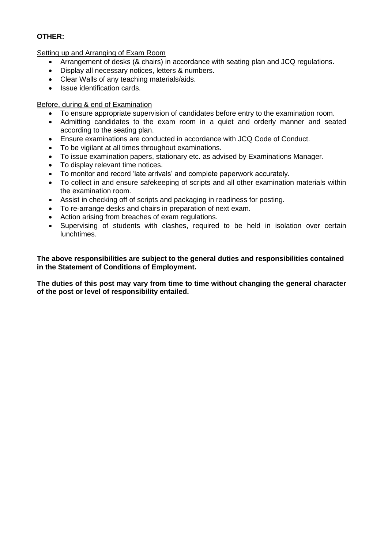## **OTHER:**

Setting up and Arranging of Exam Room

- Arrangement of desks (& chairs) in accordance with seating plan and JCQ regulations.
- Display all necessary notices, letters & numbers.
- Clear Walls of any teaching materials/aids.
- Issue identification cards.

### Before, during & end of Examination

- To ensure appropriate supervision of candidates before entry to the examination room.
- Admitting candidates to the exam room in a quiet and orderly manner and seated according to the seating plan.
- Ensure examinations are conducted in accordance with JCQ Code of Conduct.
- To be vigilant at all times throughout examinations.
- To issue examination papers, stationary etc. as advised by Examinations Manager.
- To display relevant time notices.
- To monitor and record 'late arrivals' and complete paperwork accurately.
- To collect in and ensure safekeeping of scripts and all other examination materials within the examination room.
- Assist in checking off of scripts and packaging in readiness for posting.
- To re-arrange desks and chairs in preparation of next exam.
- Action arising from breaches of exam regulations.
- Supervising of students with clashes, required to be held in isolation over certain lunchtimes.

**The above responsibilities are subject to the general duties and responsibilities contained in the Statement of Conditions of Employment.**

**The duties of this post may vary from time to time without changing the general character of the post or level of responsibility entailed.**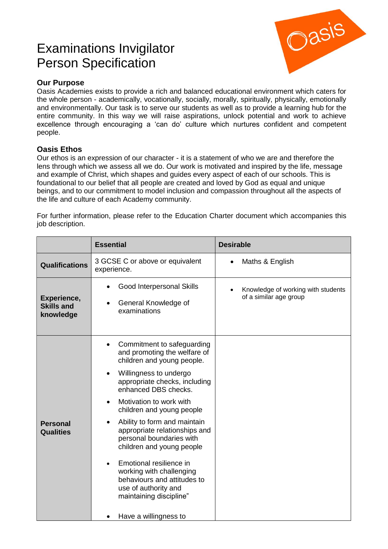# Examinations Invigilator Person Specification



# **Our Purpose**

Oasis Academies exists to provide a rich and balanced educational environment which caters for the whole person - academically, vocationally, socially, morally, spiritually, physically, emotionally and environmentally. Our task is to serve our students as well as to provide a learning hub for the entire community. In this way we will raise aspirations, unlock potential and work to achieve excellence through encouraging a 'can do' culture which nurtures confident and competent people.

# **Oasis Ethos**

Our ethos is an expression of our character - it is a statement of who we are and therefore the lens through which we assess all we do. Our work is motivated and inspired by the life, message and example of Christ, which shapes and guides every aspect of each of our schools. This is foundational to our belief that all people are created and loved by God as equal and unique beings, and to our commitment to model inclusion and compassion throughout all the aspects of the life and culture of each Academy community.

For further information, please refer to the Education Charter document which accompanies this job description.

|                                               | <b>Essential</b>                                                                                                                                                                                                                                                                                                                                                                                                                                                                                                                                          | <b>Desirable</b>                                             |
|-----------------------------------------------|-----------------------------------------------------------------------------------------------------------------------------------------------------------------------------------------------------------------------------------------------------------------------------------------------------------------------------------------------------------------------------------------------------------------------------------------------------------------------------------------------------------------------------------------------------------|--------------------------------------------------------------|
| <b>Qualifications</b>                         | 3 GCSE C or above or equivalent<br>experience.                                                                                                                                                                                                                                                                                                                                                                                                                                                                                                            | Maths & English                                              |
| Experience,<br><b>Skills and</b><br>knowledge | Good Interpersonal Skills<br>General Knowledge of<br>examinations                                                                                                                                                                                                                                                                                                                                                                                                                                                                                         | Knowledge of working with students<br>of a similar age group |
| <b>Personal</b><br><b>Qualities</b>           | Commitment to safeguarding<br>$\bullet$<br>and promoting the welfare of<br>children and young people.<br>Willingness to undergo<br>$\bullet$<br>appropriate checks, including<br>enhanced DBS checks.<br>Motivation to work with<br>children and young people<br>Ability to form and maintain<br>appropriate relationships and<br>personal boundaries with<br>children and young people<br>Emotional resilience in<br>working with challenging<br>behaviours and attitudes to<br>use of authority and<br>maintaining discipline"<br>Have a willingness to |                                                              |